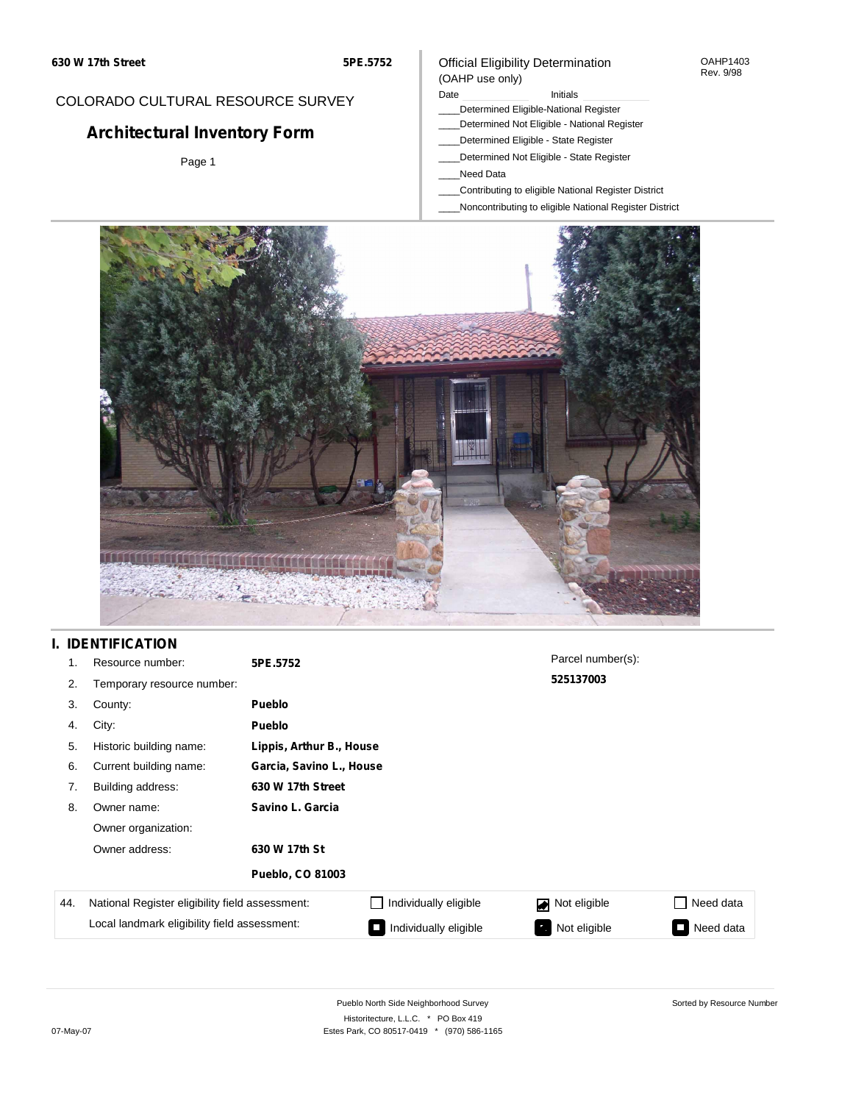### COLORADO CULTURAL RESOURCE SURVEY

# **Architectural Inventory Form**

Page 1

### Official Eligibility Determination (OAHP use only)

#### Date **Initials** Initials

- \_\_\_\_Determined Eligible-National Register
- \_\_\_\_Determined Not Eligible National Register
- \_\_\_\_Determined Eligible State Register
- \_\_\_\_Determined Not Eligible State Register
- \_\_\_\_Need Data
- \_\_\_\_Contributing to eligible National Register District
- \_\_\_\_Noncontributing to eligible National Register District



## **I. IDENTIFICATION**

| 1.  | Resource number:                                | 5PE.5752                 | Parcel number(s):        |                                |           |  |  |  |
|-----|-------------------------------------------------|--------------------------|--------------------------|--------------------------------|-----------|--|--|--|
| 2.  | Temporary resource number:                      |                          |                          | 525137003                      |           |  |  |  |
| 3.  | County:                                         | <b>Pueblo</b>            |                          |                                |           |  |  |  |
| 4.  | City:                                           | <b>Pueblo</b>            |                          |                                |           |  |  |  |
| 5.  | Historic building name:                         |                          | Lippis, Arthur B., House |                                |           |  |  |  |
| 6.  | Current building name:                          | Garcia, Savino L., House |                          |                                |           |  |  |  |
| 7.  | Building address:                               | 630 W 17th Street        |                          |                                |           |  |  |  |
| 8.  | Owner name:                                     | Savino L. Garcia         |                          |                                |           |  |  |  |
|     | Owner organization:                             |                          |                          |                                |           |  |  |  |
|     | Owner address:                                  | 630 W 17th St            |                          |                                |           |  |  |  |
|     |                                                 | <b>Pueblo, CO 81003</b>  |                          |                                |           |  |  |  |
| 44. | National Register eligibility field assessment: |                          | Individually eligible    | Not eligible<br>$\blacksquare$ | Need data |  |  |  |
|     | Local landmark eligibility field assessment:    |                          | Individually eligible    | Not eligible                   | Need data |  |  |  |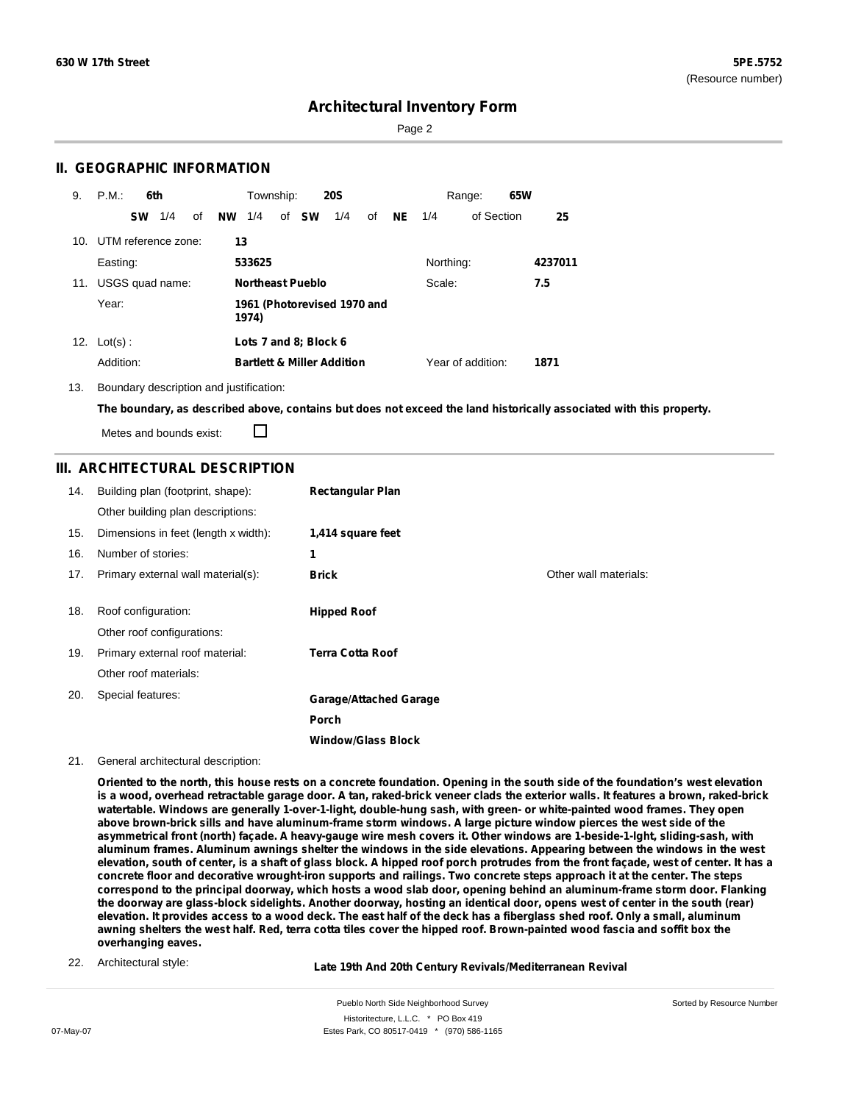Sorted by Resource Number

### **Architectural Inventory Form**

Page 2

### **II. GEOGRAPHIC INFORMATION**

| 9.  | P.M.<br>6th            | Township:<br><b>20S</b>                       | 65W<br>Range:                        |
|-----|------------------------|-----------------------------------------------|--------------------------------------|
|     | 1/4<br>οf<br><b>SW</b> | 1/4<br><b>NW</b><br>1/4<br>of <b>SW</b><br>0f | <b>NE</b><br>of Section<br>25<br>1/4 |
| 10. | UTM reference zone:    | 13                                            |                                      |
|     | Easting:               | 533625                                        | Northing:<br>4237011                 |
| 11. | USGS quad name:        | <b>Northeast Pueblo</b>                       | Scale:<br>7.5                        |
|     | Year:                  | 1961 (Photorevised 1970 and<br>1974)          |                                      |
|     | 12. $Lot(s)$ :         | Lots 7 and 8; Block 6                         |                                      |
|     | Addition:              | <b>Bartlett &amp; Miller Addition</b>         | Year of addition:<br>1871            |

#### 13. Boundary description and justification:

The boundary, as described above, contains but does not exceed the land historically associated with this property.

Metes and bounds exist:

П

### **III. ARCHITECTURAL DESCRIPTION**

| 14. | Building plan (footprint, shape):    | <b>Rectangular Plan</b>       |                       |
|-----|--------------------------------------|-------------------------------|-----------------------|
|     | Other building plan descriptions:    |                               |                       |
| 15. | Dimensions in feet (length x width): | 1,414 square feet             |                       |
| 16. | Number of stories:                   | 1                             |                       |
| 17. | Primary external wall material(s):   | <b>Brick</b>                  | Other wall materials: |
|     |                                      |                               |                       |
| 18. | Roof configuration:                  | <b>Hipped Roof</b>            |                       |
|     | Other roof configurations:           |                               |                       |
| 19. | Primary external roof material:      | <b>Terra Cotta Roof</b>       |                       |
|     | Other roof materials:                |                               |                       |
| 20. | Special features:                    | <b>Garage/Attached Garage</b> |                       |
|     |                                      | Porch                         |                       |
|     |                                      | <b>Window/Glass Block</b>     |                       |

#### 21. General architectural description:

Oriented to the north, this house rests on a concrete foundation. Opening in the south side of the foundation's west elevation is a wood, overhead retractable garage door. A tan, raked-brick veneer clads the exterior walls. It features a brown, raked-brick **watertable. Windows are generally 1-over-1-light, double-hung sash, with green- or white-painted wood frames. They open** above brown-brick sills and have aluminum-frame storm windows. A large picture window pierces the west side of the asymmetrical front (north) façade. A heavy-gauge wire mesh covers it. Other windows are 1-beside-1-lght, sliding-sash, with aluminum frames. Aluminum awnings shelter the windows in the side elevations. Appearing between the windows in the west elevation, south of center, is a shaft of glass block. A hipped roof porch protrudes from the front façade, west of center. It has a concrete floor and decorative wrought-iron supports and railings. Two concrete steps approach it at the center. The steps correspond to the principal doorway, which hosts a wood slab door, opening behind an aluminum-frame storm door. Flanking the doorway are glass-block sidelights. Another doorway, hosting an identical door, opens west of center in the south (rear) elevation. It provides access to a wood deck. The east half of the deck has a fiberglass shed roof. Only a small, aluminum awning shelters the west half. Red, terra cotta tiles cover the hipped roof. Brown-painted wood fascia and soffit box the **overhanging eaves.**

22. Architectural style:

**Late 19th And 20th Century Revivals/Mediterranean Revival**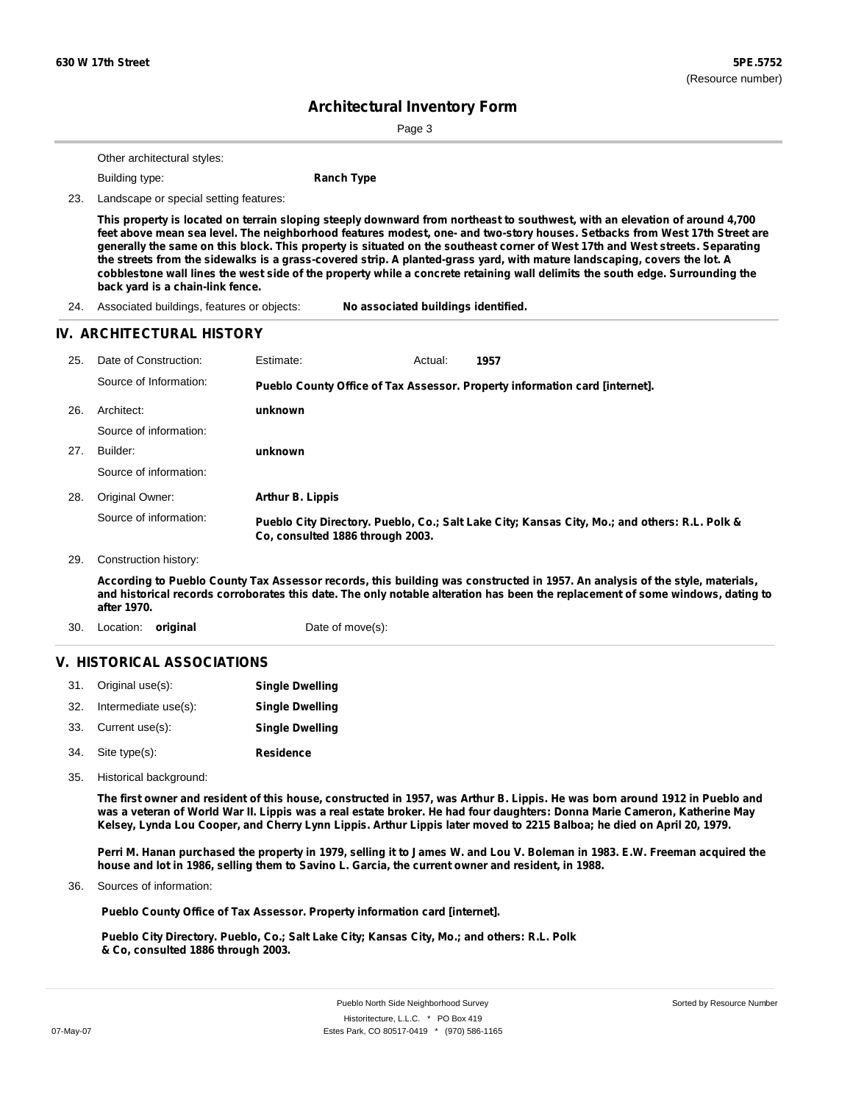Page 3

Other architectural styles:

**Building type: Ranch Type** 

23. Landscape or special setting features:

This property is located on terrain sloping steeply downward from northeast to southwest, with an elevation of around 4,700 feet above mean sea level. The neighborhood features modest, one- and two-story houses. Setbacks from West 17th Street are generally the same on this block. This property is situated on the southeast corner of West 17th and West streets. Separating the streets from the sidewalks is a grass-covered strip. A planted-grass yard, with mature landscaping, covers the lot. A cobblestone wall lines the west side of the property while a concrete retaining wall delimits the south edge. Surrounding the **back yard is a chain-link fence.**

24. Associated buildings, features or objects: **No associated buildings identified.**

#### **IV. ARCHITECTURAL HISTORY**

**1957 unknown unknown Arthur B. Lippis** 25. Date of Construction: Estimate: Actual: Architect: 27. Builder: 28. Original Owner: 29. Construction history: 26. Source of Information: Source of information: Source of information: Source of information: **Pueblo County Office of Tax Assessor. Property information card [internet]. Pueblo City Directory. Pueblo, Co.; Salt Lake City; Kansas City, Mo.; and others: R.L. Polk & Co, consulted 1886 through 2003.**

According to Pueblo County Tax Assessor records, this building was constructed in 1957. An analysis of the style, materials, and historical records corroborates this date. The only notable alteration has been the replacement of some windows, dating to **after 1970.**

30. Location: **original** Date of move(s):

### **V. HISTORICAL ASSOCIATIONS**

|     | 31. Original use(s): | <b>Single Dwelling</b> |
|-----|----------------------|------------------------|
| 32. | Intermediate use(s): | <b>Single Dwelling</b> |
|     | 33. Current use(s):  | <b>Single Dwelling</b> |
|     | 34. Site type(s):    | <b>Residence</b>       |

35. Historical background:

The first owner and resident of this house, constructed in 1957, was Arthur B. Lippis. He was born around 1912 in Pueblo and was a veteran of World War II. Lippis was a real estate broker. He had four daughters: Donna Marie Cameron, Katherine May Kelsey, Lynda Lou Cooper, and Cherry Lynn Lippis. Arthur Lippis later moved to 2215 Balboa; he died on April 20, 1979.

Perri M. Hanan purchased the property in 1979, selling it to James W. and Lou V. Boleman in 1983. E.W. Freeman acquired the **house and lot in 1986, selling them to Savino L. Garcia, the current owner and resident, in 1988.**

Sources of information: 36.

**Pueblo County Office of Tax Assessor. Property information card [internet].**

**Pueblo City Directory. Pueblo, Co.; Salt Lake City; Kansas City, Mo.; and others: R.L. Polk & Co, consulted 1886 through 2003.**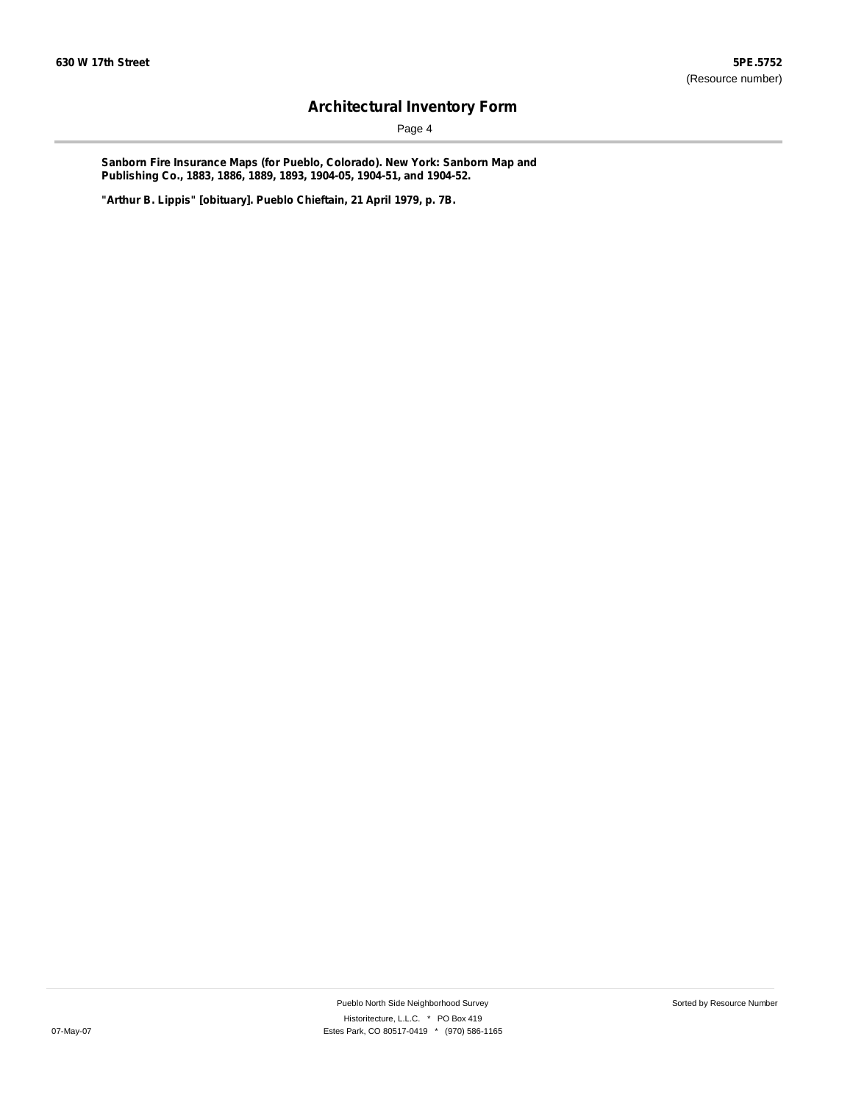Page 4

**Sanborn Fire Insurance Maps (for Pueblo, Colorado). New York: Sanborn Map and Publishing Co., 1883, 1886, 1889, 1893, 1904-05, 1904-51, and 1904-52.**

**"Arthur B. Lippis" [obituary]. Pueblo Chieftain, 21 April 1979, p. 7B.**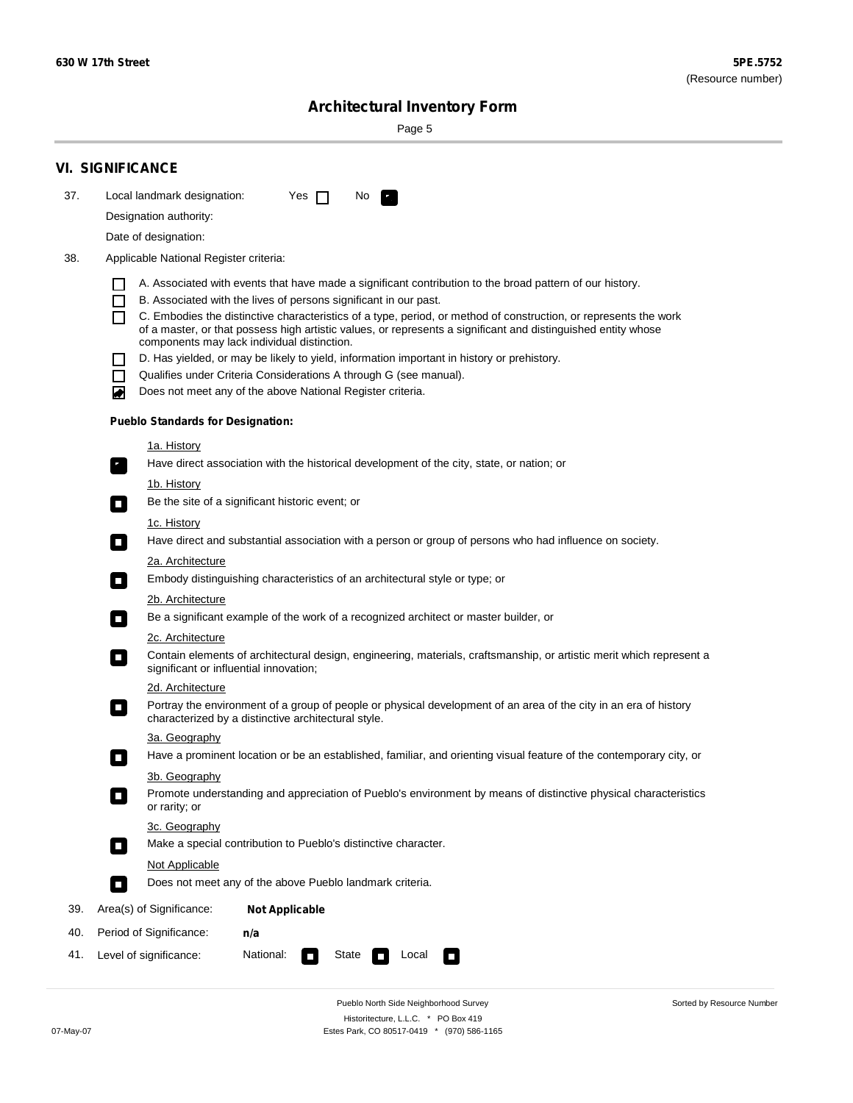Sorted by Resource Number

# **Architectural Inventory Form**

Page 5

|     | <b>VI. SIGNIFICANCE</b>                                                                                                                                                           |  |  |  |  |  |  |  |
|-----|-----------------------------------------------------------------------------------------------------------------------------------------------------------------------------------|--|--|--|--|--|--|--|
| 37. | Local landmark designation:<br>Yes $\Box$<br>No.<br>$\mathbf{F}_{\mathbf{r}}$                                                                                                     |  |  |  |  |  |  |  |
|     | Designation authority:                                                                                                                                                            |  |  |  |  |  |  |  |
|     | Date of designation:                                                                                                                                                              |  |  |  |  |  |  |  |
| 38. | Applicable National Register criteria:                                                                                                                                            |  |  |  |  |  |  |  |
|     | A. Associated with events that have made a significant contribution to the broad pattern of our history.                                                                          |  |  |  |  |  |  |  |
|     | B. Associated with the lives of persons significant in our past.<br>$\blacksquare$                                                                                                |  |  |  |  |  |  |  |
|     | C. Embodies the distinctive characteristics of a type, period, or method of construction, or represents the work<br>П                                                             |  |  |  |  |  |  |  |
|     | of a master, or that possess high artistic values, or represents a significant and distinguished entity whose<br>components may lack individual distinction.                      |  |  |  |  |  |  |  |
|     | D. Has yielded, or may be likely to yield, information important in history or prehistory.                                                                                        |  |  |  |  |  |  |  |
|     | Qualifies under Criteria Considerations A through G (see manual).<br>$\sim$                                                                                                       |  |  |  |  |  |  |  |
|     | Does not meet any of the above National Register criteria.<br>₩                                                                                                                   |  |  |  |  |  |  |  |
|     | <b>Pueblo Standards for Designation:</b>                                                                                                                                          |  |  |  |  |  |  |  |
|     | 1a. History                                                                                                                                                                       |  |  |  |  |  |  |  |
|     | $\overline{\mathbf{r}}_1$<br>Have direct association with the historical development of the city, state, or nation; or                                                            |  |  |  |  |  |  |  |
|     | <u>1b. History</u>                                                                                                                                                                |  |  |  |  |  |  |  |
|     | Be the site of a significant historic event; or<br>$\mathcal{L}_{\mathcal{A}}$                                                                                                    |  |  |  |  |  |  |  |
|     | 1c. History                                                                                                                                                                       |  |  |  |  |  |  |  |
|     | Have direct and substantial association with a person or group of persons who had influence on society.<br>$\overline{\phantom{a}}$                                               |  |  |  |  |  |  |  |
|     | 2a. Architecture<br>Embody distinguishing characteristics of an architectural style or type; or                                                                                   |  |  |  |  |  |  |  |
|     | $\Box$                                                                                                                                                                            |  |  |  |  |  |  |  |
|     | 2b. Architecture<br>Be a significant example of the work of a recognized architect or master builder, or<br>$\Box$                                                                |  |  |  |  |  |  |  |
|     | 2c. Architecture                                                                                                                                                                  |  |  |  |  |  |  |  |
|     | Contain elements of architectural design, engineering, materials, craftsmanship, or artistic merit which represent a<br>$\Box$<br>significant or influential innovation;          |  |  |  |  |  |  |  |
|     | 2d. Architecture                                                                                                                                                                  |  |  |  |  |  |  |  |
|     | Portray the environment of a group of people or physical development of an area of the city in an era of history<br>$\Box$<br>characterized by a distinctive architectural style. |  |  |  |  |  |  |  |
|     | 3a. Geography                                                                                                                                                                     |  |  |  |  |  |  |  |
|     | Have a prominent location or be an established, familiar, and orienting visual feature of the contemporary city, or                                                               |  |  |  |  |  |  |  |
|     | 3b. Geography                                                                                                                                                                     |  |  |  |  |  |  |  |
|     | Promote understanding and appreciation of Pueblo's environment by means of distinctive physical characteristics<br>or rarity; or                                                  |  |  |  |  |  |  |  |
|     | 3c. Geography                                                                                                                                                                     |  |  |  |  |  |  |  |
|     | Make a special contribution to Pueblo's distinctive character.<br>$\overline{\phantom{a}}$                                                                                        |  |  |  |  |  |  |  |
|     | <b>Not Applicable</b><br>Does not meet any of the above Pueblo landmark criteria.                                                                                                 |  |  |  |  |  |  |  |
|     | $\overline{\phantom{a}}$                                                                                                                                                          |  |  |  |  |  |  |  |
| 39. | Area(s) of Significance:<br><b>Not Applicable</b>                                                                                                                                 |  |  |  |  |  |  |  |
| 40. | Period of Significance:<br>n/a                                                                                                                                                    |  |  |  |  |  |  |  |
| 41. | Level of significance:<br>National:<br>State<br>Local<br>$\Box$<br>$\sim$                                                                                                         |  |  |  |  |  |  |  |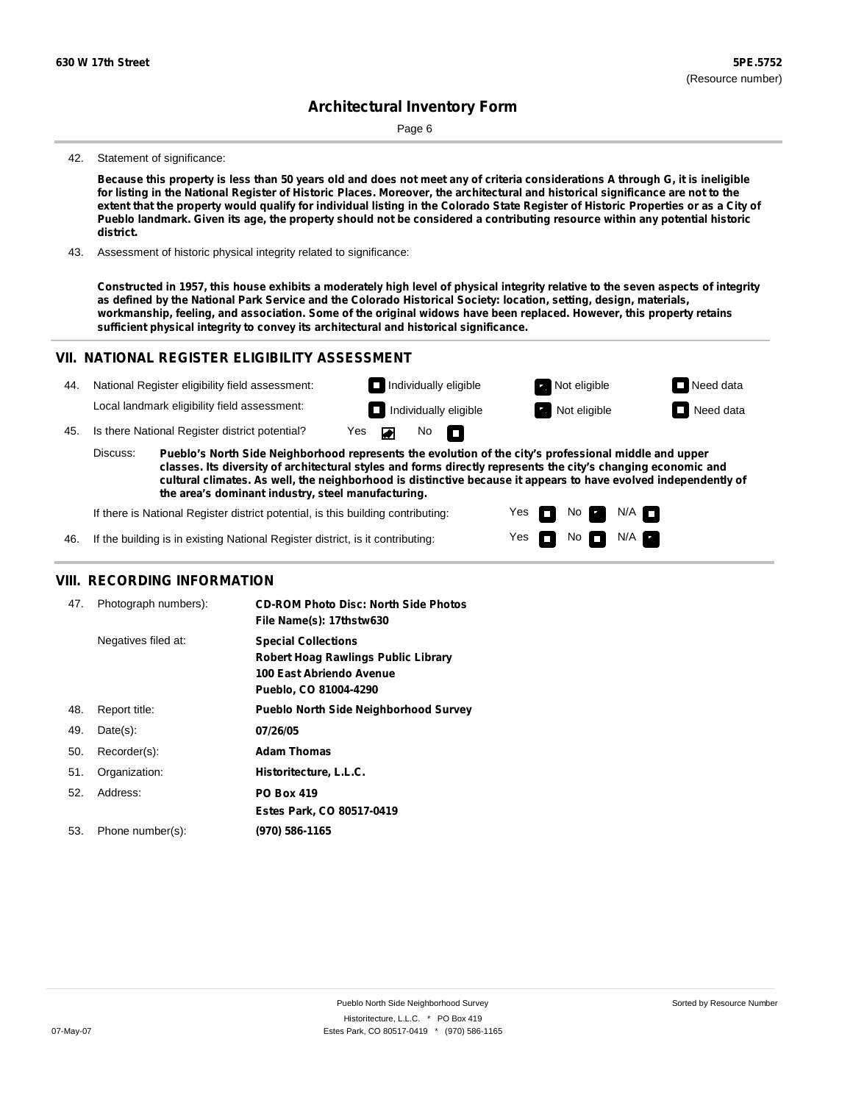Page 6

#### 42. Statement of significance:

Because this property is less than 50 years old and does not meet any of criteria considerations A through G, it is ineligible for listing in the National Register of Historic Places. Moreover, the architectural and historical significance are not to the extent that the property would qualify for individual listing in the Colorado State Register of Historic Properties or as a City of Pueblo landmark. Given its age, the property should not be considered a contributing resource within any potential historic **district.**

43. Assessment of historic physical integrity related to significance:

Constructed in 1957, this house exhibits a moderately high level of physical integrity relative to the seven aspects of integrity as defined by the National Park Service and the Colorado Historical Society: location, setting, design, materials, workmanship, feeling, and association. Some of the original widows have been replaced. However, this property retains **sufficient physical integrity to convey its architectural and historical significance.**

### **VII. NATIONAL REGISTER ELIGIBILITY ASSESSMENT**

| 44. |                                                                                                                                                                                                                                                                                                                                                                                                             | National Register eligibility field assessment: |     | $\Box$ Individually eligible | Not eligible<br>$\mathbf{r}$ . | $\Box$ Need data |
|-----|-------------------------------------------------------------------------------------------------------------------------------------------------------------------------------------------------------------------------------------------------------------------------------------------------------------------------------------------------------------------------------------------------------------|-------------------------------------------------|-----|------------------------------|--------------------------------|------------------|
|     |                                                                                                                                                                                                                                                                                                                                                                                                             | Local landmark eligibility field assessment:    |     | Individually eligible        | Not eligible                   | $\Box$ Need data |
| 45. |                                                                                                                                                                                                                                                                                                                                                                                                             | Is there National Register district potential?  | Yes | No.<br>n                     |                                |                  |
|     | Discuss:<br>Pueblo's North Side Neighborhood represents the evolution of the city's professional middle and upper<br>classes. Its diversity of architectural styles and forms directly represents the city's changing economic and<br>cultural climates. As well, the neighborhood is distinctive because it appears to have evolved independently of<br>the area's dominant industry, steel manufacturing. |                                                 |     |                              |                                |                  |

Yes Yes No

 $No$   $\neg$   $N/A$ 

N/A

If there is National Register district potential, is this building contributing:

46. If the building is in existing National Register district, is it contributing:

### **VIII. RECORDING INFORMATION**

| 47. | Photograph numbers): | <b>CD-ROM Photo Disc: North Side Photos</b><br>File Name(s): 17thstw630                                                       |
|-----|----------------------|-------------------------------------------------------------------------------------------------------------------------------|
|     | Negatives filed at:  | <b>Special Collections</b><br><b>Robert Hoag Rawlings Public Library</b><br>100 East Abriendo Avenue<br>Pueblo, CO 81004-4290 |
| 48. | Report title:        | <b>Pueblo North Side Neighborhood Survey</b>                                                                                  |
| 49. | $Date(s)$ :          | 07/26/05                                                                                                                      |
| 50. | Recorder(s):         | <b>Adam Thomas</b>                                                                                                            |
| 51. | Organization:        | Historitecture, L.L.C.                                                                                                        |
| 52. | Address:             | <b>PO Box 419</b>                                                                                                             |
|     |                      | Estes Park, CO 80517-0419                                                                                                     |
| 53. | Phone number(s):     | (970) 586-1165                                                                                                                |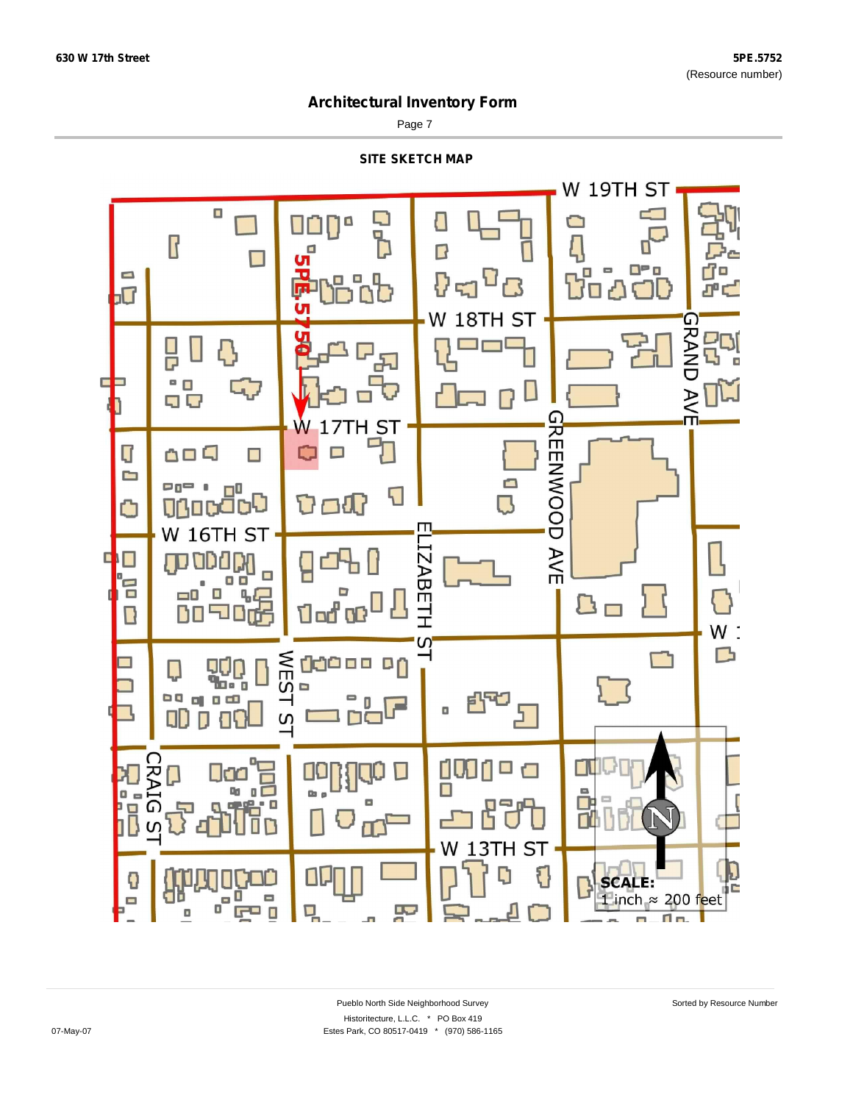Page 7